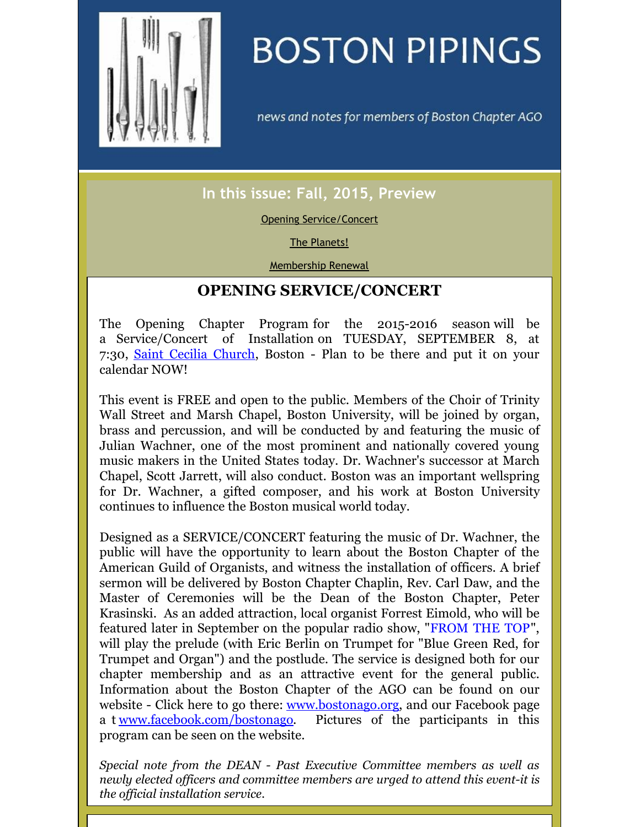<span id="page-0-0"></span>

# **BOSTON PIPINGS**

news and notes for members of Boston Chapter AGO

## **In this issue: Fall, 2015, Preview**

### Opening [Service/Concert](#page-0-0)

#### The [Planets!](#page-0-0)

[Membership](#page-0-0) Renewal

## **OPENING SERVICE/CONCERT**

The Opening Chapter Program for the 2015-2016 season will be a Service/Concert of Installation on TUESDAY, SEPTEMBER 8, at 7:30, Saint Cecilia [Church](http://stceciliaboston.org), Boston - Plan to be there and put it on your calendar NOW!

This event is FREE and open to the public. Members of the Choir of Trinity Wall Street and Marsh Chapel, Boston University, will be joined by organ, brass and percussion, and will be conducted by and featuring the music of Julian Wachner, one of the most prominent and nationally covered young music makers in the United States today. Dr. Wachner's successor at March Chapel, Scott Jarrett, will also conduct. Boston was an important wellspring for Dr. Wachner, a gifted composer, and his work at Boston University continues to influence the Boston musical world today.

Designed as a SERVICE/CONCERT featuring the music of Dr. Wachner, the public will have the opportunity to learn about the Boston Chapter of the American Guild of Organists, and witness the installation of officers. A brief sermon will be delivered by Boston Chapter Chaplin, Rev. Carl Daw, and the Master of Ceremonies will be the Dean of the Boston Chapter, Peter Krasinski. As an added attraction, local organist Forrest Eimold, who will be featured later in September on the popular radio show, ["FROM](http://www.fromthetop.org) THE TOP", will play the prelude (with Eric Berlin on Trumpet for "Blue Green Red, for Trumpet and Organ") and the postlude. The service is designed both for our chapter membership and as an attractive event for the general public. Information about the Boston Chapter of the AGO can be found on our website - Click here to go there: [www.bostonago.org](http://www.bostonago.org), and our Facebook page a t [www.facebook.com/bostonago](http://www.facebook.com/bostonago). Pictures of the participants in this program can be seen on the website.

*Special note from the DEAN - Past Executive Committee members as well as newly elected of icers and committee members are urged to attend this event-it is the of icial installation service.*